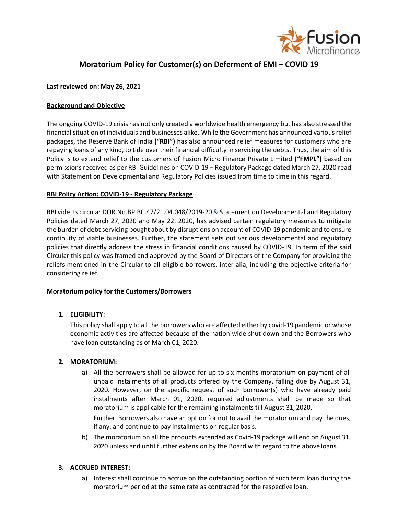

# **Moratorium Policy for Customer(s) on Deferment of EMI – COVID 19**

## **Last reviewed on: May 26, 2021**

## **Background and Objective**

The ongoing COVID-19 crisis has not only created a worldwide health emergency but has also stressed the financial situation of individuals and businesses alike. While the Government has announced variousrelief packages, the Reserve Bank of India **("RBI")** has also announced relief measures for customers who are repaying loans of any kind, to tide over their financial difficulty in servicing the debts. Thus, the aim of this Policy is to extend relief to the customers of Fusion Micro Finance Private Limited **("FMPL")** based on permissions received as per RBI Guidelines on COVID-19 – Regulatory Package dated March 27, 2020 read with [Statement on Developmental and Regulatory Policies i](https://www.rbi.org.in/Scripts/BS_PressReleaseDisplay.aspx?prid=49582)ssued from time to time in this regard.

#### **RBI Policy Action: COVID-19 - Regulatory Package**

RBI vide its circular DOR.No.BP.BC.47/21.04.048/2019-20& [Statement on Developmental and Regulatory](https://www.rbi.org.in/Scripts/BS_PressReleaseDisplay.aspx?prid=49582) [Policies](https://www.rbi.org.in/Scripts/BS_PressReleaseDisplay.aspx?prid=49582) dated March 27, 2020 and May 22, 2020, has advised certain regulatory measures to mitigate the burden of debt servicing bought about by disruptions on account of COVID-19 pandemic and to ensure continuity of viable businesses. Further, the statement sets out various developmental and regulatory policies that directly address the stress in financial conditions caused by COVID-19. In term of the said Circular this policy was framed and approved by the Board of Directors of the Company for providing the reliefs mentioned in the Circular to all eligible borrowers, inter alia, including the objective criteria for considering relief.

#### **Moratorium policy for the Customers/Borrowers**

#### **1. ELIGIBILITY**:

This policy shall apply to all the borrowers who are affected either by covid-19 pandemic or whose economic activities are affected because of the nation wide shut down and the Borrowers who have loan outstanding as of March 01, 2020.

#### **2. MORATORIUM:**

a) All the borrowers shall be allowed for up to six months moratorium on payment of all unpaid instalments of all products offered by the Company, falling due by August 31, 2020. However, on the specific request of such borrower(s) who have already paid instalments after March 01, 2020, required adjustments shall be made so that moratorium is applicable for the remaining instalments till August 31, 2020.

Further, Borrowers also have an option for not to avail the moratorium and pay the dues, if any, and continue to pay installments on regularbasis.

b) The moratorium on all the products extended as Covid-19 package will end on August 31, 2020 unless and until further extension by the Board with regard to the above loans.

#### **3. ACCRUED INTEREST:**

a) Interest shall continue to accrue on the outstanding portion of such term loan during the moratorium period at the same rate as contracted for the respective loan.